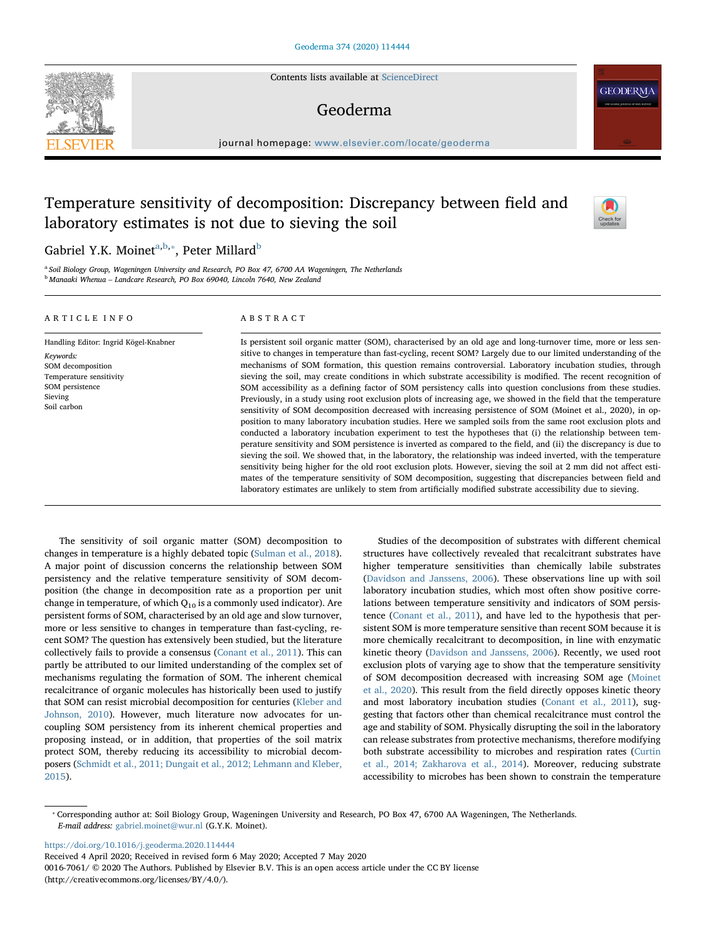Contents lists available at [ScienceDirect](http://www.sciencedirect.com/science/journal/00167061)

## Geoderma

journal homepage: [www.elsevier.com/locate/geoderma](https://www.elsevier.com/locate/geoderma)

# Temperature sensitivity of decomposition: Discrepancy between field and laboratory estimates is not due to sieving the soil

## G[a](#page-0-0)[b](#page-0-1)riel Y.K. Moinet $^{\text{a,b},\ast}$ , Peter Millard $^{\text{b}}$

<span id="page-0-1"></span><span id="page-0-0"></span><sup>a</sup> Soil Biology Group, Wageningen University and Research, PO Box 47, 6700 AA Wageningen, The Netherlands <sup>b</sup> Manaaki Whenua – Landcare Research, PO Box 69040, Lincoln 7640, New Zealand

#### ARTICLE INFO

Keywords: SOM decomposition Temperature sensitivity SOM persistence Sieving Soil carbon

Handling Editor: Ingrid Kögel-Knabner

### ABSTRACT

Is persistent soil organic matter (SOM), characterised by an old age and long-turnover time, more or less sensitive to changes in temperature than fast-cycling, recent SOM? Largely due to our limited understanding of the mechanisms of SOM formation, this question remains controversial. Laboratory incubation studies, through sieving the soil, may create conditions in which substrate accessibility is modified. The recent recognition of SOM accessibility as a defining factor of SOM persistency calls into question conclusions from these studies. Previously, in a study using root exclusion plots of increasing age, we showed in the field that the temperature sensitivity of SOM decomposition decreased with increasing persistence of SOM (Moinet et al., 2020), in opposition to many laboratory incubation studies. Here we sampled soils from the same root exclusion plots and conducted a laboratory incubation experiment to test the hypotheses that (i) the relationship between temperature sensitivity and SOM persistence is inverted as compared to the field, and (ii) the discrepancy is due to sieving the soil. We showed that, in the laboratory, the relationship was indeed inverted, with the temperature sensitivity being higher for the old root exclusion plots. However, sieving the soil at 2 mm did not affect estimates of the temperature sensitivity of SOM decomposition, suggesting that discrepancies between field and laboratory estimates are unlikely to stem from artificially modified substrate accessibility due to sieving.

The sensitivity of soil organic matter (SOM) decomposition to changes in temperature is a highly debated topic ([Sulman et al., 2018](#page-3-0)). A major point of discussion concerns the relationship between SOM persistency and the relative temperature sensitivity of SOM decomposition (the change in decomposition rate as a proportion per unit change in temperature, of which  $Q_{10}$  is a commonly used indicator). Are persistent forms of SOM, characterised by an old age and slow turnover, more or less sensitive to changes in temperature than fast-cycling, recent SOM? The question has extensively been studied, but the literature collectively fails to provide a consensus [\(Conant et al., 2011](#page-2-0)). This can partly be attributed to our limited understanding of the complex set of mechanisms regulating the formation of SOM. The inherent chemical recalcitrance of organic molecules has historically been used to justify that SOM can resist microbial decomposition for centuries [\(Kleber and](#page-2-1) [Johnson, 2010\)](#page-2-1). However, much literature now advocates for uncoupling SOM persistency from its inherent chemical properties and proposing instead, or in addition, that properties of the soil matrix protect SOM, thereby reducing its accessibility to microbial decomposers ([Schmidt et al., 2011; Dungait et al., 2012; Lehmann and Kleber,](#page-3-1) [2015\)](#page-3-1).

Studies of the decomposition of substrates with different chemical structures have collectively revealed that recalcitrant substrates have higher temperature sensitivities than chemically labile substrates ([Davidson and Janssens, 2006](#page-2-2)). These observations line up with soil laboratory incubation studies, which most often show positive correlations between temperature sensitivity and indicators of SOM persistence ([Conant et al., 2011\)](#page-2-0), and have led to the hypothesis that persistent SOM is more temperature sensitive than recent SOM because it is more chemically recalcitrant to decomposition, in line with enzymatic kinetic theory [\(Davidson and Janssens, 2006](#page-2-2)). Recently, we used root exclusion plots of varying age to show that the temperature sensitivity of SOM decomposition decreased with increasing SOM age ([Moinet](#page-3-2) [et al., 2020\)](#page-3-2). This result from the field directly opposes kinetic theory and most laboratory incubation studies [\(Conant et al., 2011\)](#page-2-0), suggesting that factors other than chemical recalcitrance must control the age and stability of SOM. Physically disrupting the soil in the laboratory can release substrates from protective mechanisms, therefore modifying both substrate accessibility to microbes and respiration rates [\(Curtin](#page-2-3) [et al., 2014; Zakharova et al., 2014](#page-2-3)). Moreover, reducing substrate accessibility to microbes has been shown to constrain the temperature

<https://doi.org/10.1016/j.geoderma.2020.114444>

Received 4 April 2020; Received in revised form 6 May 2020; Accepted 7 May 2020

0016-7061/ © 2020 The Authors. Published by Elsevier B.V. This is an open access article under the CC BY license (http://creativecommons.org/licenses/BY/4.0/).





**GEODERMA** 

<span id="page-0-2"></span><sup>⁎</sup> Corresponding author at: Soil Biology Group, Wageningen University and Research, PO Box 47, 6700 AA Wageningen, The Netherlands. E-mail address: [gabriel.moinet@wur.nl](mailto:gabriel.moinet@wur.nl) (G.Y.K. Moinet).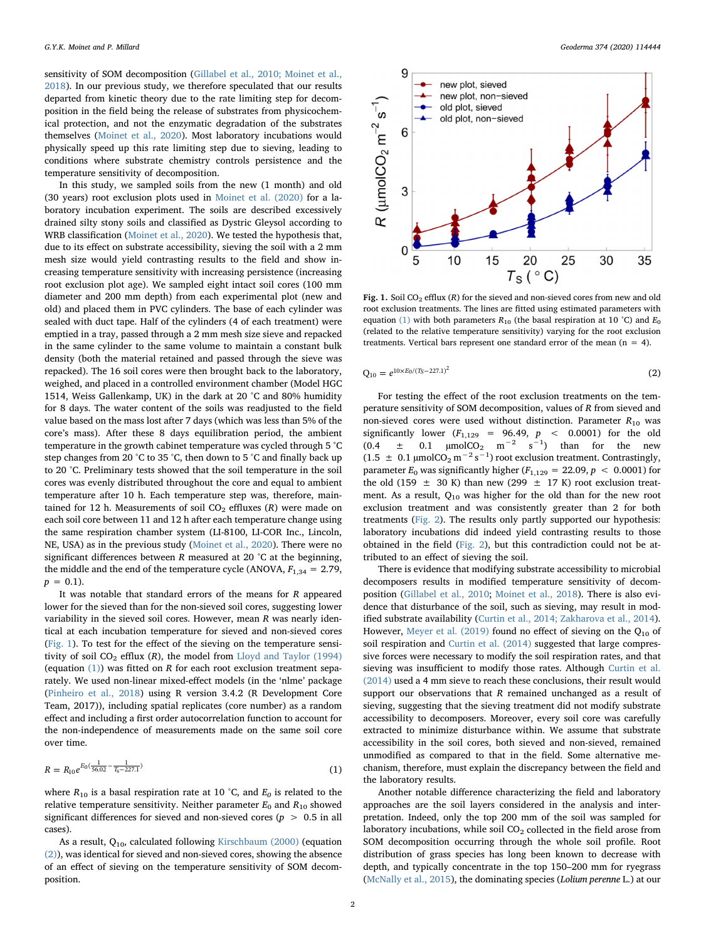sensitivity of SOM decomposition ([Gillabel et al., 2010; Moinet et al.,](#page-2-4) [2018\)](#page-2-4). In our previous study, we therefore speculated that our results departed from kinetic theory due to the rate limiting step for decomposition in the field being the release of substrates from physicochemical protection, and not the enzymatic degradation of the substrates themselves ([Moinet et al., 2020](#page-3-2)). Most laboratory incubations would physically speed up this rate limiting step due to sieving, leading to conditions where substrate chemistry controls persistence and the temperature sensitivity of decomposition.

In this study, we sampled soils from the new (1 month) and old (30 years) root exclusion plots used in [Moinet et al. \(2020\)](#page-3-2) for a laboratory incubation experiment. The soils are described excessively drained silty stony soils and classified as Dystric Gleysol according to WRB classification [\(Moinet et al., 2020](#page-3-2)). We tested the hypothesis that, due to its effect on substrate accessibility, sieving the soil with a 2 mm mesh size would yield contrasting results to the field and show increasing temperature sensitivity with increasing persistence (increasing root exclusion plot age). We sampled eight intact soil cores (100 mm diameter and 200 mm depth) from each experimental plot (new and old) and placed them in PVC cylinders. The base of each cylinder was sealed with duct tape. Half of the cylinders (4 of each treatment) were emptied in a tray, passed through a 2 mm mesh size sieve and repacked in the same cylinder to the same volume to maintain a constant bulk density (both the material retained and passed through the sieve was repacked). The 16 soil cores were then brought back to the laboratory, weighed, and placed in a controlled environment chamber (Model HGC 1514, Weiss Gallenkamp, UK) in the dark at 20 °C and 80% humidity for 8 days. The water content of the soils was readjusted to the field value based on the mass lost after 7 days (which was less than 5% of the core's mass). After these 8 days equilibration period, the ambient temperature in the growth cabinet temperature was cycled through 5 °C step changes from 20 °C to 35 °C, then down to 5 °C and finally back up to 20 °C. Preliminary tests showed that the soil temperature in the soil cores was evenly distributed throughout the core and equal to ambient temperature after 10 h. Each temperature step was, therefore, maintained for 12 h. Measurements of soil  $CO<sub>2</sub>$  effluxes (R) were made on each soil core between 11 and 12 h after each temperature change using the same respiration chamber system (LI-8100, LI-COR Inc., Lincoln, NE, USA) as in the previous study ([Moinet et al., 2020](#page-3-2)). There were no significant differences between  $R$  measured at 20  $^{\circ}$ C at the beginning, the middle and the end of the temperature cycle (ANOVA,  $F_{1,34} = 2.79$ ,  $p = 0.1$ .

It was notable that standard errors of the means for R appeared lower for the sieved than for the non-sieved soil cores, suggesting lower variability in the sieved soil cores. However, mean  $R$  was nearly identical at each incubation temperature for sieved and non-sieved cores ([Fig. 1](#page-1-0)). To test for the effect of the sieving on the temperature sensitivity of soil  $CO_2$  efflux (R), the model from [Lloyd and Taylor \(1994\)](#page-2-5) (equation  $(1)$ ) was fitted on R for each root exclusion treatment separately. We used non-linear mixed-effect models (in the 'nlme' package ([Pinheiro et al., 2018](#page-3-3)) using R version 3.4.2 (R Development Core Team, 2017)), including spatial replicates (core number) as a random effect and including a first order autocorrelation function to account for the non-independence of measurements made on the same soil core over time.

<span id="page-1-1"></span>
$$
R = R_{10}e^{E_0(\frac{1}{56.02} - \frac{1}{T_s - 227.1})}
$$
\n(1)

where  $R_{10}$  is a basal respiration rate at 10 °C, and  $E_0$  is related to the relative temperature sensitivity. Neither parameter  $E_0$  and  $R_{10}$  showed significant differences for sieved and non-sieved cores ( $p > 0.5$  in all cases).

<span id="page-1-2"></span>As a result,  $Q_{10}$ , calculated following [Kirschbaum \(2000\)](#page-2-6) (equation [\(2\)](#page-1-2)), was identical for sieved and non-sieved cores, showing the absence of an effect of sieving on the temperature sensitivity of SOM decomposition.

<span id="page-1-0"></span>

Fig. 1. Soil CO<sub>2</sub> efflux (R) for the sieved and non-sieved cores from new and old root exclusion treatments. The lines are fitted using estimated parameters with equation [\(1\)](#page-1-1) with both parameters  $R_{10}$  (the basal respiration at 10 °C) and  $E_0$ (related to the relative temperature sensitivity) varying for the root exclusion treatments. Vertical bars represent one standard error of the mean  $(n = 4)$ .

$$
Q_{10} = e^{10 \times E_0 / (T_S - 227.1)^2}
$$
 (2)

For testing the effect of the root exclusion treatments on the temperature sensitivity of SOM decomposition, values of R from sieved and non-sieved cores were used without distinction. Parameter  $R_{10}$  was significantly lower  $(F_{1,129} = 96.49, p < 0.0001)$  for the old (0.4  $\pm$  0.1 µmolCO<sub>2</sub> m<sup>-2</sup> s<sup>-1</sup>) than for the new (1.5  $\pm$  0.1 μmolCO<sub>2</sub> m<sup>-2</sup> s<sup>-1</sup>) root exclusion treatment. Contrastingly, parameter  $E_0$  was significantly higher ( $F_{1,129} = 22.09$ ,  $p < 0.0001$ ) for the old (159  $\pm$  30 K) than new (299  $\pm$  17 K) root exclusion treatment. As a result,  $Q_{10}$  was higher for the old than for the new root exclusion treatment and was consistently greater than 2 for both treatments [\(Fig. 2](#page-2-7)). The results only partly supported our hypothesis: laboratory incubations did indeed yield contrasting results to those obtained in the field ([Fig. 2\)](#page-2-7), but this contradiction could not be attributed to an effect of sieving the soil.

There is evidence that modifying substrate accessibility to microbial decomposers results in modified temperature sensitivity of decomposition ([Gillabel et al., 2010;](#page-2-4) [Moinet et al., 2018\)](#page-3-4). There is also evidence that disturbance of the soil, such as sieving, may result in modified substrate availability ([Curtin et al., 2014; Zakharova et al., 2014](#page-2-3)). However, [Meyer et al. \(2019\)](#page-2-8) found no effect of sieving on the  $Q_{10}$  of soil respiration and [Curtin et al. \(2014\)](#page-2-3) suggested that large compressive forces were necessary to modify the soil respiration rates, and that sieving was insufficient to modify those rates. Although [Curtin et al.](#page-2-3) [\(2014\)](#page-2-3) used a 4 mm sieve to reach these conclusions, their result would support our observations that R remained unchanged as a result of sieving, suggesting that the sieving treatment did not modify substrate accessibility to decomposers. Moreover, every soil core was carefully extracted to minimize disturbance within. We assume that substrate accessibility in the soil cores, both sieved and non-sieved, remained unmodified as compared to that in the field. Some alternative mechanism, therefore, must explain the discrepancy between the field and the laboratory results.

Another notable difference characterizing the field and laboratory approaches are the soil layers considered in the analysis and interpretation. Indeed, only the top 200 mm of the soil was sampled for laboratory incubations, while soil  $CO<sub>2</sub>$  collected in the field arose from SOM decomposition occurring through the whole soil profile. Root distribution of grass species has long been known to decrease with depth, and typically concentrate in the top 150–200 mm for ryegrass ([McNally et al., 2015](#page-2-9)), the dominating species (Lolium perenne L.) at our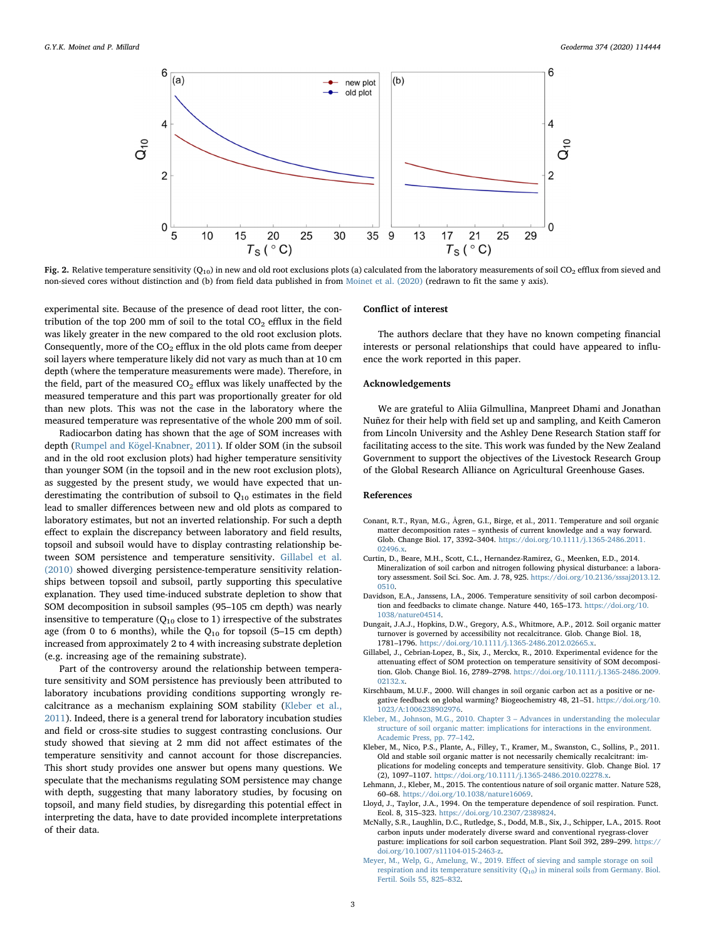<span id="page-2-7"></span>

Fig. 2. Relative temperature sensitivity ( $O_{10}$ ) in new and old root exclusions plots (a) calculated from the laboratory measurements of soil CO<sub>2</sub> efflux from sieved and non-sieved cores without distinction and (b) from field data published in from [Moinet et al. \(2020\)](#page-3-2) (redrawn to fit the same y axis).

experimental site. Because of the presence of dead root litter, the contribution of the top 200 mm of soil to the total  $CO<sub>2</sub>$  efflux in the field was likely greater in the new compared to the old root exclusion plots. Consequently, more of the  $CO<sub>2</sub>$  efflux in the old plots came from deeper soil layers where temperature likely did not vary as much than at 10 cm depth (where the temperature measurements were made). Therefore, in the field, part of the measured  $CO<sub>2</sub>$  efflux was likely unaffected by the measured temperature and this part was proportionally greater for old than new plots. This was not the case in the laboratory where the measured temperature was representative of the whole 200 mm of soil.

Radiocarbon dating has shown that the age of SOM increases with depth [\(Rumpel and Kögel-Knabner, 2011\)](#page-3-5). If older SOM (in the subsoil and in the old root exclusion plots) had higher temperature sensitivity than younger SOM (in the topsoil and in the new root exclusion plots), as suggested by the present study, we would have expected that underestimating the contribution of subsoil to  $Q_{10}$  estimates in the field lead to smaller differences between new and old plots as compared to laboratory estimates, but not an inverted relationship. For such a depth effect to explain the discrepancy between laboratory and field results, topsoil and subsoil would have to display contrasting relationship between SOM persistence and temperature sensitivity. [Gillabel et al.](#page-2-4) [\(2010\)](#page-2-4) showed diverging persistence-temperature sensitivity relationships between topsoil and subsoil, partly supporting this speculative explanation. They used time-induced substrate depletion to show that SOM decomposition in subsoil samples (95–105 cm depth) was nearly insensitive to temperature ( $Q_{10}$  close to 1) irrespective of the substrates age (from 0 to 6 months), while the  $Q_{10}$  for topsoil (5-15 cm depth) increased from approximately 2 to 4 with increasing substrate depletion (e.g. increasing age of the remaining substrate).

Part of the controversy around the relationship between temperature sensitivity and SOM persistence has previously been attributed to laboratory incubations providing conditions supporting wrongly recalcitrance as a mechanism explaining SOM stability [\(Kleber et al.,](#page-2-10) [2011\)](#page-2-10). Indeed, there is a general trend for laboratory incubation studies and field or cross-site studies to suggest contrasting conclusions. Our study showed that sieving at 2 mm did not affect estimates of the temperature sensitivity and cannot account for those discrepancies. This short study provides one answer but opens many questions. We speculate that the mechanisms regulating SOM persistence may change with depth, suggesting that many laboratory studies, by focusing on topsoil, and many field studies, by disregarding this potential effect in interpreting the data, have to date provided incomplete interpretations of their data.

#### Conflict of interest

The authors declare that they have no known competing financial interests or personal relationships that could have appeared to influence the work reported in this paper.

#### Acknowledgements

We are grateful to Aliia Gilmullina, Manpreet Dhami and Jonathan Nuñez for their help with field set up and sampling, and Keith Cameron from Lincoln University and the Ashley Dene Research Station staff for facilitating access to the site. This work was funded by the New Zealand Government to support the objectives of the Livestock Research Group of the Global Research Alliance on Agricultural Greenhouse Gases.

### References

- <span id="page-2-0"></span>Conant, R.T., Ryan, M.G., Ågren, G.I., Birge, et al., 2011. Temperature and soil organic matter decomposition rates – synthesis of current knowledge and a way forward. Glob. Change Biol. 17, 3392–3404. [https://doi.org/10.1111/j.1365-2486.2011.](https://doi.org/10.1111/j.1365-2486.2011.02496.x) [02496.x.](https://doi.org/10.1111/j.1365-2486.2011.02496.x)
- <span id="page-2-3"></span>Curtin, D., Beare, M.H., Scott, C.L., Hernandez-Ramirez, G., Meenken, E.D., 2014. Mineralization of soil carbon and nitrogen following physical disturbance: a laboratory assessment. Soil Sci. Soc. Am. J. 78, 925. [https://doi.org/10.2136/sssaj2013.12.](https://doi.org/10.2136/sssaj2013.12.0510) [0510.](https://doi.org/10.2136/sssaj2013.12.0510)
- <span id="page-2-2"></span>Davidson, E.A., Janssens, I.A., 2006. Temperature sensitivity of soil carbon decomposition and feedbacks to climate change. Nature 440, 165–173. [https://doi.org/10.](https://doi.org/10.1038/nature04514) [1038/nature04514](https://doi.org/10.1038/nature04514).
- Dungait, J.A.J., Hopkins, D.W., Gregory, A.S., Whitmore, A.P., 2012. Soil organic matter turnover is governed by accessibility not recalcitrance. Glob. Change Biol. 18, 1781–1796. <https://doi.org/10.1111/j.1365-2486.2012.02665.x>.
- <span id="page-2-4"></span>Gillabel, J., Cebrian-Lopez, B., Six, J., Merckx, R., 2010. Experimental evidence for the attenuating effect of SOM protection on temperature sensitivity of SOM decomposition. Glob. Change Biol. 16, 2789–2798. [https://doi.org/10.1111/j.1365-2486.2009.](https://doi.org/10.1111/j.1365-2486.2009.02132.x) [02132.x.](https://doi.org/10.1111/j.1365-2486.2009.02132.x)
- <span id="page-2-6"></span>Kirschbaum, M.U.F., 2000. Will changes in soil organic carbon act as a positive or negative feedback on global warming? Biogeochemistry 48, 21–51. [https://doi.org/10.](https://doi.org/10.1023/A:1006238902976) [1023/A:1006238902976.](https://doi.org/10.1023/A:1006238902976)
- <span id="page-2-1"></span>[Kleber, M., Johnson, M.G., 2010. Chapter 3](http://refhub.elsevier.com/S0016-7061(20)30870-3/h0035) – Advances in understanding the molecular [structure of soil organic matter: implications for interactions in the environment.](http://refhub.elsevier.com/S0016-7061(20)30870-3/h0035) [Academic Press, pp. 77](http://refhub.elsevier.com/S0016-7061(20)30870-3/h0035)–142.
- <span id="page-2-10"></span>Kleber, M., Nico, P.S., Plante, A., Filley, T., Kramer, M., Swanston, C., Sollins, P., 2011. Old and stable soil organic matter is not necessarily chemically recalcitrant: implications for modeling concepts and temperature sensitivity. Glob. Change Biol. 17 (2), 1097–1107. [https://doi.org/10.1111/j.1365-2486.2010.02278.x.](https://doi.org/10.1111/j.1365-2486.2010.02278.x)
- Lehmann, J., Kleber, M., 2015. The contentious nature of soil organic matter. Nature 528, 60–68. <https://doi.org/10.1038/nature16069>.
- <span id="page-2-5"></span>Lloyd, J., Taylor, J.A., 1994. On the temperature dependence of soil respiration. Funct. Ecol. 8, 315–323. [https://doi.org/10.2307/2389824.](https://doi.org/10.2307/2389824)
- <span id="page-2-9"></span>McNally, S.R., Laughlin, D.C., Rutledge, S., Dodd, M.B., Six, J., Schipper, L.A., 2015. Root carbon inputs under moderately diverse sward and conventional ryegrass-clover pasture: implications for soil carbon sequestration. Plant Soil 392, 289–299. [https://](https://doi.org/10.1007/s11104-015-2463-z) [doi.org/10.1007/s11104-015-2463-z.](https://doi.org/10.1007/s11104-015-2463-z)
- <span id="page-2-8"></span>[Meyer, M., Welp, G., Amelung, W., 2019. E](http://refhub.elsevier.com/S0016-7061(20)30870-3/h0055)ffect of sieving and sample storage on soil respiration and its temperature sensitivity  $(Q_{10})$  in mineral soils from Germany. Biol. [Fertil. Soils 55, 825](http://refhub.elsevier.com/S0016-7061(20)30870-3/h0055)–832.